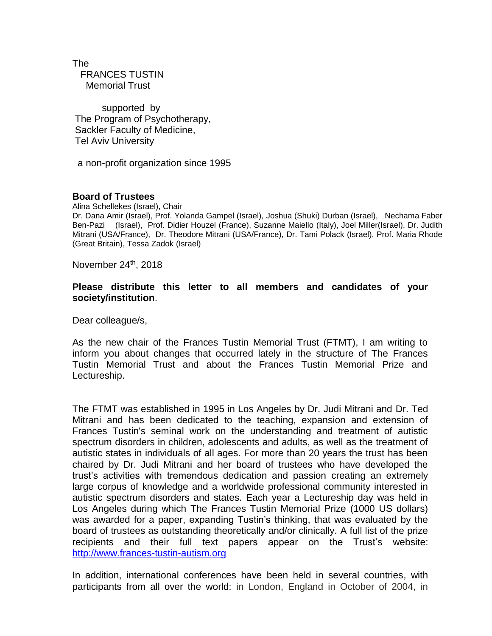The FRANCES TUSTIN Memorial Trust

 supported by The Program of Psychotherapy, Sackler Faculty of Medicine, Tel Aviv University

a non-profit organization since 1995

## **Board of Trustees**

Alina Schellekes (Israel), Chair

Dr. Dana Amir (Israel), Prof. Yolanda Gampel (Israel), Joshua (Shuki) Durban (Israel), Nechama Faber Ben-Pazi (Israel), Prof. Didier Houzel (France), Suzanne Maiello (Italy), Joel Miller(Israel), Dr. Judith Mitrani (USA/France), Dr. Theodore Mitrani (USA/France), Dr. Tami Polack (Israel), Prof. Maria Rhode (Great Britain), Tessa Zadok (Israel)

November 24<sup>th</sup>, 2018

## **Please distribute this letter to all members and candidates of your society/institution**.

Dear colleague/s,

As the new chair of the Frances Tustin Memorial Trust (FTMT), I am writing to inform you about changes that occurred lately in the structure of The Frances Tustin Memorial Trust and about the Frances Tustin Memorial Prize and Lectureship.

The FTMT was established in 1995 in Los Angeles by Dr. Judi Mitrani and Dr. Ted Mitrani and has been dedicated to the teaching, expansion and extension of Frances Tustin's seminal work on the understanding and treatment of autistic spectrum disorders in children, adolescents and adults, as well as the treatment of autistic states in individuals of all ages. For more than 20 years the trust has been chaired by Dr. Judi Mitrani and her board of trustees who have developed the trust's activities with tremendous dedication and passion creating an extremely large corpus of knowledge and a worldwide professional community interested in autistic spectrum disorders and states. Each year a Lectureship day was held in Los Angeles during which The Frances Tustin Memorial Prize (1000 US dollars) was awarded for a paper, expanding Tustin's thinking, that was evaluated by the board of trustees as outstanding theoretically and/or clinically. A full list of the prize recipients and their full text papers appear on the Trust's website: [http://www.frances-tustin-autism.org](http://www.frances-tustin-autism.org/)

In addition, international conferences have been held in several countries, with participants from all over the world: in London, England in October of 2004, in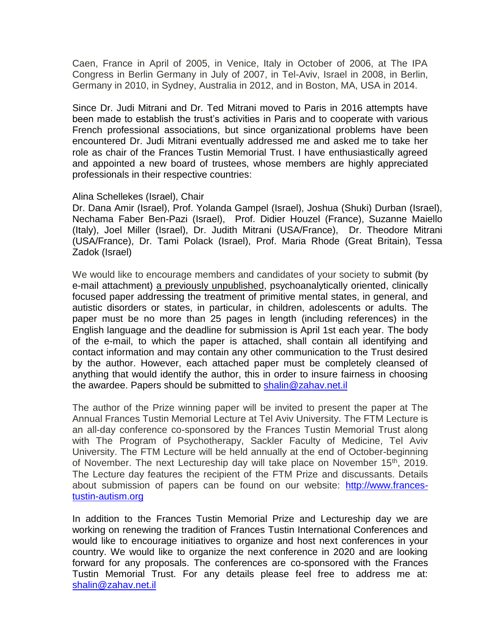Caen, France in April of 2005, in Venice, Italy in October of 2006, at The IPA Congress in Berlin Germany in July of 2007, in Tel-Aviv, Israel in 2008, in Berlin, Germany in 2010, in Sydney, Australia in 2012, and in Boston, MA, USA in 2014.

Since Dr. Judi Mitrani and Dr. Ted Mitrani moved to Paris in 2016 attempts have been made to establish the trust's activities in Paris and to cooperate with various French professional associations, but since organizational problems have been encountered Dr. Judi Mitrani eventually addressed me and asked me to take her role as chair of the Frances Tustin Memorial Trust. I have enthusiastically agreed and appointed a new board of trustees, whose members are highly appreciated professionals in their respective countries:

## Alina Schellekes (Israel), Chair

Dr. Dana Amir (Israel), Prof. Yolanda Gampel (Israel), Joshua (Shuki) Durban (Israel), Nechama Faber Ben-Pazi (Israel), Prof. Didier Houzel (France), Suzanne Maiello (Italy), Joel Miller (Israel), Dr. Judith Mitrani (USA/France), Dr. Theodore Mitrani (USA/France), Dr. Tami Polack (Israel), Prof. Maria Rhode (Great Britain), Tessa Zadok (Israel)

We would like to encourage members and candidates of your society to submit (by e-mail attachment) a previously unpublished, psychoanalytically oriented, clinically focused paper addressing the treatment of primitive mental states, in general, and autistic disorders or states, in particular, in children, adolescents or adults. The paper must be no more than 25 pages in length (including references) in the English language and the deadline for submission is April 1st each year. The body of the e-mail, to which the paper is attached, shall contain all identifying and contact information and may contain any other communication to the Trust desired by the author. However, each attached paper must be completely cleansed of anything that would identify the author, this in order to insure fairness in choosing the awardee. Papers should be submitted to [shalin@zahav.net.il](mailto:shalin@zahav.net.il)

The author of the Prize winning paper will be invited to present the paper at The Annual Frances Tustin Memorial Lecture at Tel Aviv University. The FTM Lecture is an all-day conference co-sponsored by the Frances Tustin Memorial Trust along with The Program of Psychotherapy, Sackler Faculty of Medicine, Tel Aviv University. The FTM Lecture will be held annually at the end of October-beginning of November. The next Lectureship day will take place on November 15<sup>th</sup>, 2019. The Lecture day features the recipient of the FTM Prize and discussants. Details about submission of papers can be found on our website: [http://www.frances](http://www.frances-tustin-autism.org/)[tustin-autism.org](http://www.frances-tustin-autism.org/)

In addition to the Frances Tustin Memorial Prize and Lectureship day we are working on renewing the tradition of Frances Tustin International Conferences and would like to encourage initiatives to organize and host next conferences in your country. We would like to organize the next conference in 2020 and are looking forward for any proposals. The conferences are co-sponsored with the Frances Tustin Memorial Trust. For any details please feel free to address me at: [shalin@zahav.net.il](mailto:shalin@zahav.net.il)